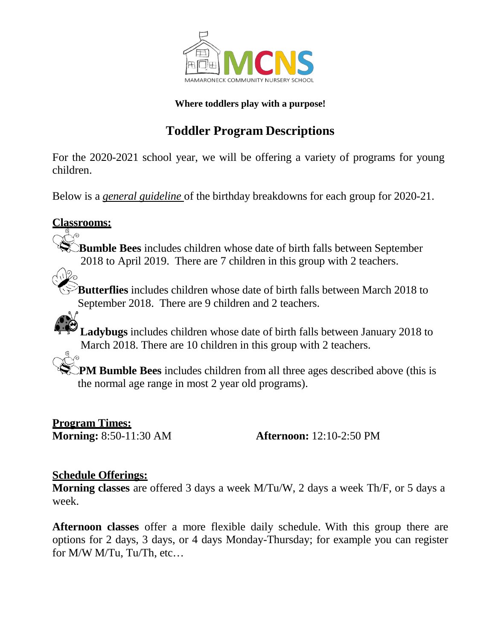

#### **Where toddlers play with a purpose!**

# **Toddler Program Descriptions**

For the 2020-2021 school year, we will be offering a variety of programs for young children.

Below is a *general guideline* of the birthday breakdowns for each group for 2020-21.

### **Classrooms:**

**Bumble Bees** includes children whose date of birth falls between September 2018 to April 2019. There are 7 children in this group with 2 teachers.

**Butterflies** includes children whose date of birth falls between March 2018 to September 2018. There are 9 children and 2 teachers.

**Ladybugs** includes children whose date of birth falls between January 2018 to March 2018. There are 10 children in this group with 2 teachers.

**PM Bumble Bees** includes children from all three ages described above (this is the normal age range in most 2 year old programs).

**Program Times:**<br>**Morning:** 8:50-11:30 AM

**Afternoon:** 12:10-2:50 PM

#### **Schedule Offerings:**

**Morning classes** are offered 3 days a week M/Tu/W, 2 days a week Th/F, or 5 days a week.

**Afternoon classes** offer a more flexible daily schedule. With this group there are options for 2 days, 3 days, or 4 days Monday-Thursday; for example you can register for M/W M/Tu, Tu/Th, etc…